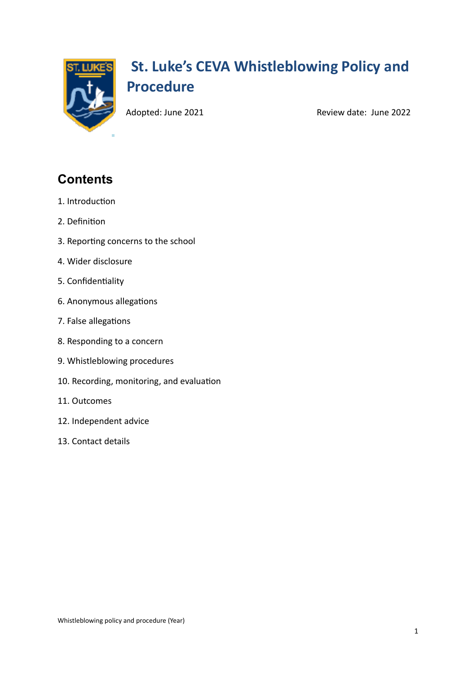

# **St. Luke's CEVA Whistleblowing Policy and Procedure**

Adopted: June 2021 **Review date: June 2022** 

# **Contents**

- 1. Introduction
- 2. Definition
- 3. Reporting concerns to the school
- 4. Wider disclosure
- 5. Confidentiality
- 6. Anonymous allegations
- 7. False allegations
- 8. Responding to a concern
- 9. Whistleblowing procedures
- 10. Recording, monitoring, and evaluation
- 11. Outcomes
- 12. Independent advice
- 13. Contact details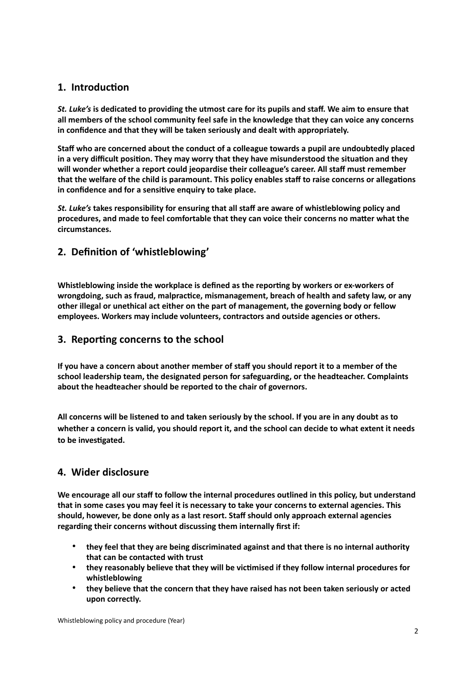# **1. Introduction**

*St. Luke's* **is dedicated to providing the utmost care for its pupils and staff. We aim to ensure that all members of the school community feel safe in the knowledge that they can voice any concerns in confidence and that they will be taken seriously and dealt with appropriately.** 

**Staff who are concerned about the conduct of a colleague towards a pupil are undoubtedly placed in a very difficult position. They may worry that they have misunderstood the situation and they will wonder whether a report could jeopardise their colleague's career. All staff must remember that the welfare of the child is paramount. This policy enables staff to raise concerns or allegations in confidence and for a sensitive enquiry to take place.** 

*St. Luke's* **takes responsibility for ensuring that all staff are aware of whistleblowing policy and procedures, and made to feel comfortable that they can voice their concerns no matter what the circumstances.**

# **2. Definition of 'whistleblowing'**

**Whistleblowing inside the workplace is defined as the reporting by workers or ex-workers of wrongdoing, such as fraud, malpractice, mismanagement, breach of health and safety law, or any other illegal or unethical act either on the part of management, the governing body or fellow employees. Workers may include volunteers, contractors and outside agencies or others.**

## **3. Reporting concerns to the school**

**If you have a concern about another member of staff you should report it to a member of the school leadership team, the designated person for safeguarding, or the headteacher. Complaints about the headteacher should be reported to the chair of governors.** 

**All concerns will be listened to and taken seriously by the school. If you are in any doubt as to whether a concern is valid, you should report it, and the school can decide to what extent it needs to be investigated.**

## **4. Wider disclosure**

**We encourage all our staff to follow the internal procedures outlined in this policy, but understand that in some cases you may feel it is necessary to take your concerns to external agencies. This should, however, be done only as a last resort. Staff should only approach external agencies regarding their concerns without discussing them internally first if:**

- **they feel that they are being discriminated against and that there is no internal authority that can be contacted with trust**
- **they reasonably believe that they will be victimised if they follow internal procedures for whistleblowing**
- **they believe that the concern that they have raised has not been taken seriously or acted upon correctly.**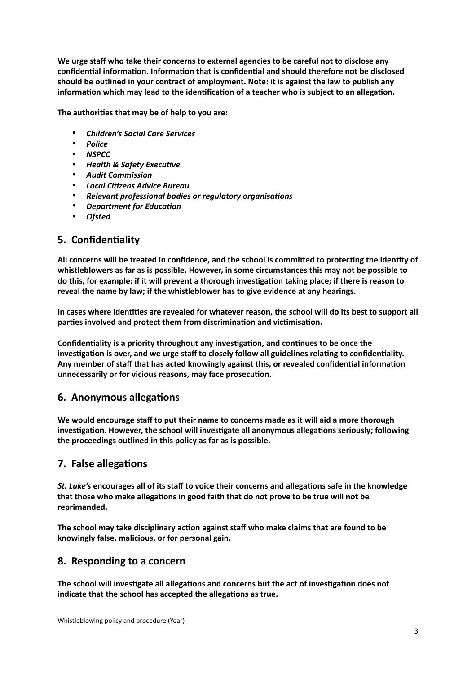**We urge staff who take their concerns to external agencies to be careful not to disclose any confidential information. Information that is confidential and should therefore not be disclosed should be outlined in your contract of employment. Note: it is against the law to publish any information which may lead to the identification of a teacher who is subject to an allegation.**

**The authorities that may be of help to you are:** 

- *Children's Social Care Services*
- *Police*
- *NSPCC*
- *Health & Safety Executive*
- *Audit Commission*
- *Local Citizens Advice Bureau*
- *Relevant professional bodies or regulatory organisations*
- *Department for Education*
- *Ofsted*

## **5. Confidentiality**

**All concerns will be treated in confidence, and the school is committed to protecting the identity of whistleblowers as far as is possible. However, in some circumstances this may not be possible to do this, for example: if it will prevent a thorough investigation taking place; if there is reason to reveal the name by law; if the whistleblower has to give evidence at any hearings.**

**In cases where identities are revealed for whatever reason, the school will do its best to support all parties involved and protect them from discrimination and victimisation.** 

**Confidentiality is a priority throughout any investigation, and continues to be once the investigation is over, and we urge staff to closely follow all guidelines relating to confidentiality. Any member of staff that has acted knowingly against this, or revealed confidential information unnecessarily or for vicious reasons, may face prosecution.**

## **6. Anonymous allegations**

**We would encourage staff to put their name to concerns made as it will aid a more thorough investigation. However, the school will investigate all anonymous allegations seriously; following the proceedings outlined in this policy as far as is possible.** 

## **7. False allegations**

*St. Luke's* **encourages all of its staff to voice their concerns and allegations safe in the knowledge that those who make allegations in good faith that do not prove to be true will not be reprimanded.**

**The school may take disciplinary action against staff who make claims that are found to be knowingly false, malicious, or for personal gain.**

## **8. Responding to a concern**

**The school will investigate all allegations and concerns but the act of investigation does not indicate that the school has accepted the allegations as true.**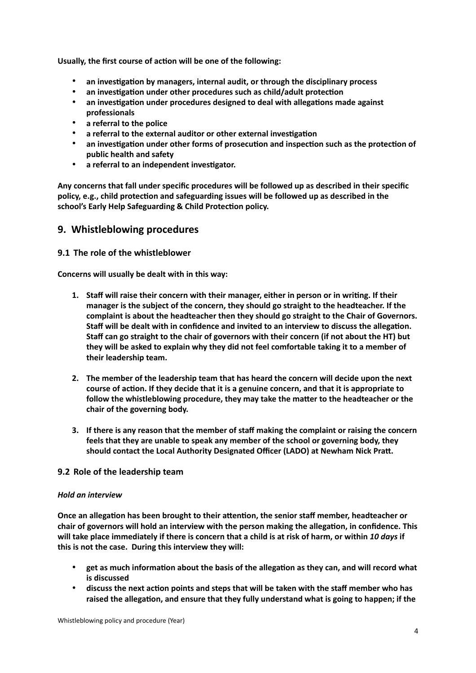**Usually, the first course of action will be one of the following:**

- **an investigation by managers, internal audit, or through the disciplinary process**
- **an investigation under other procedures such as child/adult protection**
- **an investigation under procedures designed to deal with allegations made against professionals**
- **a referral to the police**
- **a referral to the external auditor or other external investigation**
- **an investigation under other forms of prosecution and inspection such as the protection of public health and safety**
- **a referral to an independent investigator.**

**Any concerns that fall under specific procedures will be followed up as described in their specific policy, e.g., child protection and safeguarding issues will be followed up as described in the school's Early Help Safeguarding & Child Protection policy.**

#### **9. Whistleblowing procedures**

#### **9.1 The role of the whistleblower**

**Concerns will usually be dealt with in this way:**

- **1. Staff will raise their concern with their manager, either in person or in writing. If their manager is the subject of the concern, they should go straight to the headteacher. If the complaint is about the headteacher then they should go straight to the Chair of Governors. Staff will be dealt with in confidence and invited to an interview to discuss the allegation. Staff can go straight to the chair of governors with their concern (if not about the HT) but they will be asked to explain why they did not feel comfortable taking it to a member of their leadership team.**
- **2. The member of the leadership team that has heard the concern will decide upon the next course of action. If they decide that it is a genuine concern, and that it is appropriate to follow the whistleblowing procedure, they may take the matter to the headteacher or the chair of the governing body.**
- **3. If there is any reason that the member of staff making the complaint or raising the concern feels that they are unable to speak any member of the school or governing body, they should contact the Local Authority Designated Officer (LADO) at Newham Nick Pratt.**

#### **9.2 Role of the leadership team**

#### *Hold an interview*

**Once an allegation has been brought to their attention, the senior staff member, headteacher or chair of governors will hold an interview with the person making the allegation, in confidence. This will take place immediately if there is concern that a child is at risk of harm, or within** *10 days* **if this is not the case. During this interview they will:**

- **get as much information about the basis of the allegation as they can, and will record what is discussed**
- **discuss the next action points and steps that will be taken with the staff member who has raised the allegation, and ensure that they fully understand what is going to happen; if the**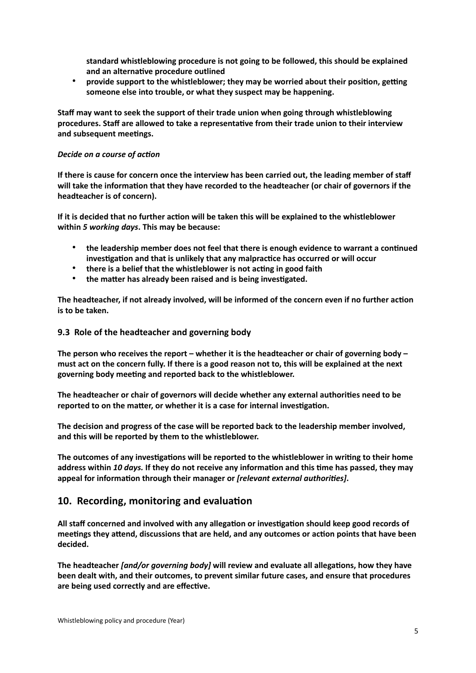**standard whistleblowing procedure is not going to be followed, this should be explained and an alternative procedure outlined**

• **provide support to the whistleblower; they may be worried about their position, getting someone else into trouble, or what they suspect may be happening.**

**Staff may want to seek the support of their trade union when going through whistleblowing procedures. Staff are allowed to take a representative from their trade union to their interview and subsequent meetings.**

#### *Decide on a course of action*

**If there is cause for concern once the interview has been carried out, the leading member of staff will take the information that they have recorded to the headteacher (or chair of governors if the headteacher is of concern).**

**If it is decided that no further action will be taken this will be explained to the whistleblower within** *5 working days***. This may be because:**

- **the leadership member does not feel that there is enough evidence to warrant a continued investigation and that is unlikely that any malpractice has occurred or will occur**
- **there is a belief that the whistleblower is not acting in good faith**
- **the matter has already been raised and is being investigated.**

**The headteacher, if not already involved, will be informed of the concern even if no further action is to be taken.**

#### **9.3 Role of the headteacher and governing body**

**The person who receives the report – whether it is the headteacher or chair of governing body – must act on the concern fully. If there is a good reason not to, this will be explained at the next governing body meeting and reported back to the whistleblower.**

**The headteacher or chair of governors will decide whether any external authorities need to be reported to on the matter, or whether it is a case for internal investigation.**

**The decision and progress of the case will be reported back to the leadership member involved, and this will be reported by them to the whistleblower.**

**The outcomes of any investigations will be reported to the whistleblower in writing to their home address within** *10 days.* **If they do not receive any information and this time has passed, they may appeal for information through their manager or** *[relevant external authorities]***.**

## **10. Recording, monitoring and evaluation**

**All staff concerned and involved with any allegation or investigation should keep good records of meetings they attend, discussions that are held, and any outcomes or action points that have been decided.**

**The headteacher** *[and/or governing body]* **will review and evaluate all allegations, how they have been dealt with, and their outcomes, to prevent similar future cases, and ensure that procedures are being used correctly and are effective.**